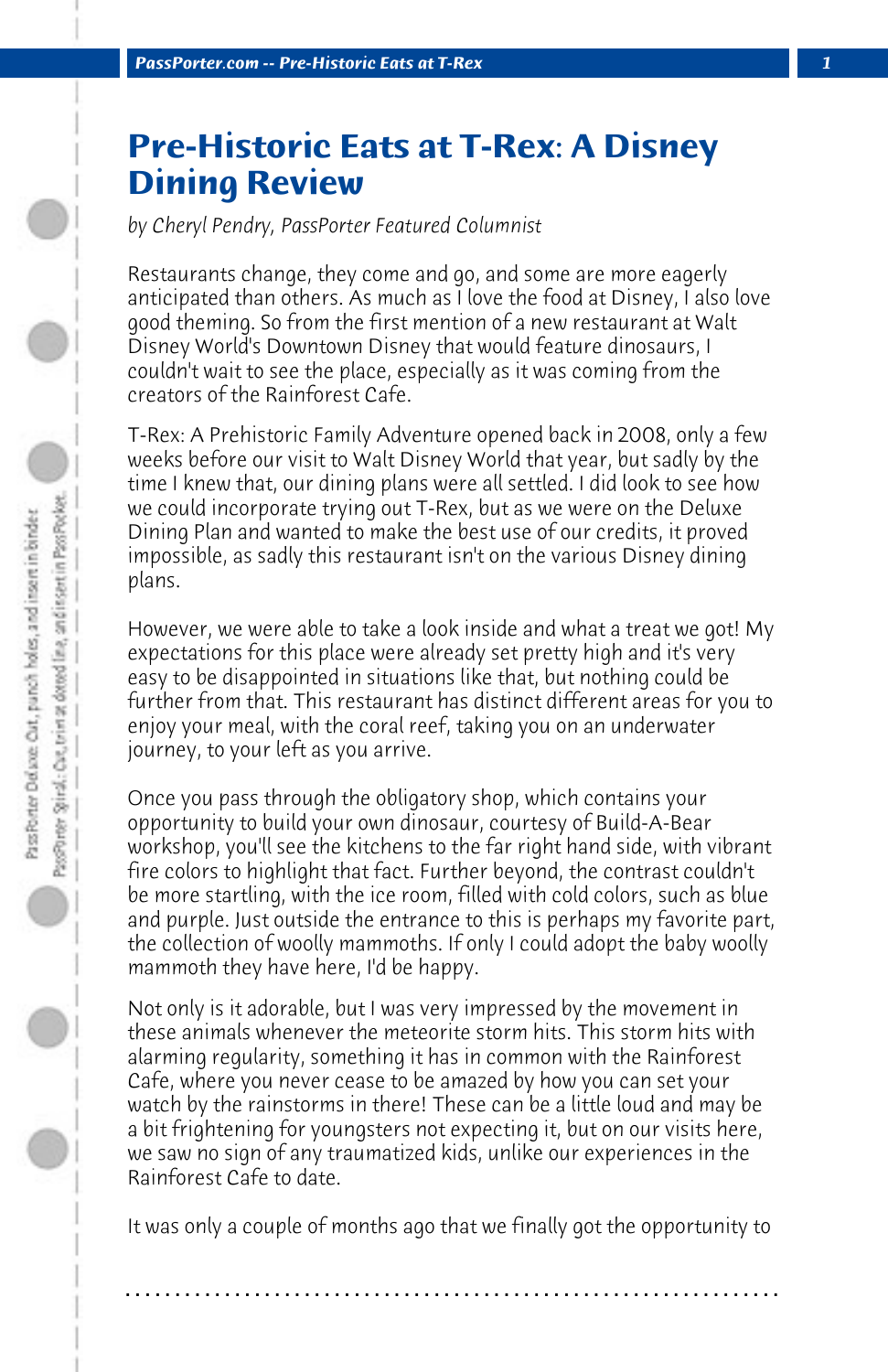## **Pre-Historic Eats at T-Rex: A Disney Dining Review**

*by Cheryl Pendry, PassPorter Featured Columnist*

Restaurants change, they come and go, and some are more eagerly anticipated than others. As much as I love the food at Disney, I also love good theming. So from the first mention of a new restaurant at Walt Disney World's Downtown Disney that would feature dinosaurs, I couldn't wait to see the place, especially as it was coming from the creators of the Rainforest Cafe.

T-Rex: A Prehistoric Family Adventure opened back in 2008, only a few weeks before our visit to Walt Disney World that year, but sadly by the time I knew that, our dining plans were all settled. I did look to see how we could incorporate trying out T-Rex, but as we were on the Deluxe Dining Plan and wanted to make the best use of our credits, it proved impossible, as sadly this restaurant isn't on the various Disney dining plans.

However, we were able to take a look inside and what a treat we got! My expectations for this place were already set pretty high and it's very easy to be disappointed in situations like that, but nothing could be further from that. This restaurant has distinct different areas for you to enjoy your meal, with the coral reef, taking you on an underwater journey, to your left as you arrive.

Once you pass through the obligatory shop, which contains your opportunity to build your own dinosaur, courtesy of Build-A-Bear workshop, you'll see the kitchens to the far right hand side, with vibrant fire colors to highlight that fact. Further beyond, the contrast couldn't be more startling, with the ice room, filled with cold colors, such as blue and purple. Just outside the entrance to this is perhaps my favorite part, the collection of woolly mammoths. If only I could adopt the baby woolly mammoth they have here, I'd be happy.

Not only is it adorable, but I was very impressed by the movement in these animals whenever the meteorite storm hits. This storm hits with alarming regularity, something it has in common with the Rainforest Cafe, where you never cease to be amazed by how you can set your watch by the rainstorms in there! These can be a little loud and may be a bit frightening for youngsters not expecting it, but on our visits here, we saw no sign of any traumatized kids, unlike our experiences in the Rainforest Cafe to date.

It was only a couple of months ago that we finally got the opportunity to

**. . . . . . . . . . . . . . . . . . . . . . . . . . . . . . . . . . . . . . . . . . . . . . . . . . . . . . . . . . . . . . . . . .**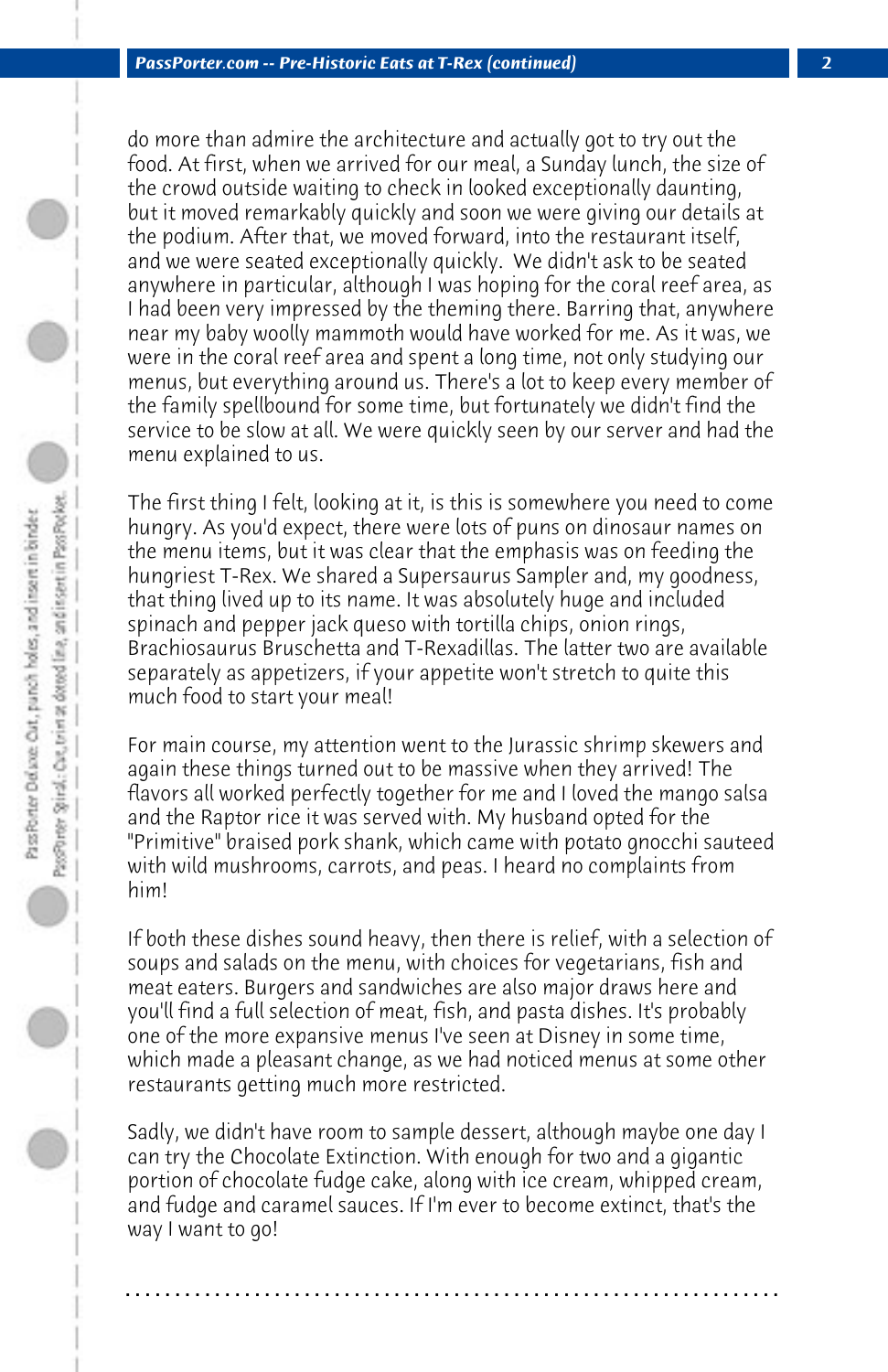do more than admire the architecture and actually got to try out the food. At first, when we arrived for our meal, a Sunday lunch, the size of the crowd outside waiting to check in looked exceptionally daunting, but it moved remarkably quickly and soon we were giving our details at the podium. After that, we moved forward, into the restaurant itself, and we were seated exceptionally quickly. We didn't ask to be seated anywhere in particular, although I was hoping for the coral reef area, as I had been very impressed by the theming there. Barring that, anywhere near my baby woolly mammoth would have worked for me. As it was, we were in the coral reef area and spent a long time, not only studying our menus, but everything around us. There's a lot to keep every member of the family spellbound for some time, but fortunately we didn't find the service to be slow at all. We were quickly seen by our server and had the menu explained to us.

The first thing I felt, looking at it, is this is somewhere you need to come hungry. As you'd expect, there were lots of puns on dinosaur names on the menu items, but it was clear that the emphasis was on feeding the hungriest T-Rex. We shared a Supersaurus Sampler and, my goodness, that thing lived up to its name. It was absolutely huge and included spinach and pepper jack queso with tortilla chips, onion rings, Brachiosaurus Bruschetta and T-Rexadillas. The latter two are available separately as appetizers, if your appetite won't stretch to quite this much food to start your meal!

For main course, my attention went to the Jurassic shrimp skewers and again these things turned out to be massive when they arrived! The flavors all worked perfectly together for me and I loved the mango salsa and the Raptor rice it was served with. My husband opted for the "Primitive" braised pork shank, which came with potato gnocchi sauteed with wild mushrooms, carrots, and peas. I heard no complaints from him!

If both these dishes sound heavy, then there is relief, with a selection of soups and salads on the menu, with choices for vegetarians, fish and meat eaters. Burgers and sandwiches are also major draws here and you'll find a full selection of meat, fish, and pasta dishes. It's probably one of the more expansive menus I've seen at Disney in some time, which made a pleasant change, as we had noticed menus at some other restaurants getting much more restricted.

Sadly, we didn't have room to sample dessert, although maybe one day I can try the Chocolate Extinction. With enough for two and a gigantic portion of chocolate fudge cake, along with ice cream, whipped cream, and fudge and caramel sauces. If I'm ever to become extinct, that's the way I want to go!

**. . . . . . . . . . . . . . . . . . . . . . . . . . . . . . . . . . . . . . . . . . . . . . . . . . . . . . . . . . . . . . . . . .**